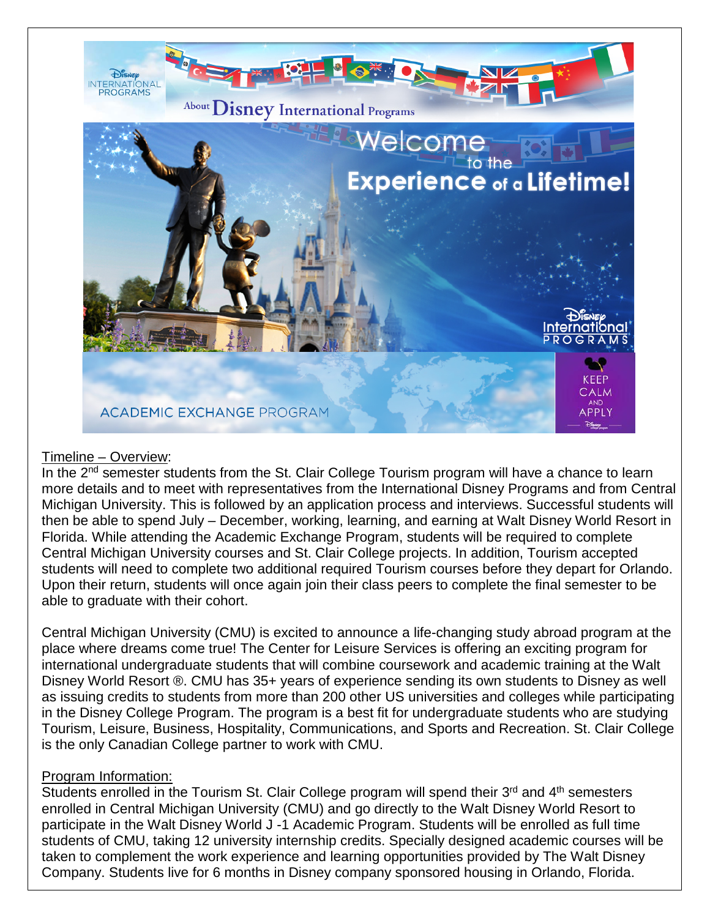

## Timeline – Overview:

In the 2<sup>nd</sup> semester students from the St. Clair College Tourism program will have a chance to learn more details and to meet with representatives from the International Disney Programs and from Central Michigan University. This is followed by an application process and interviews. Successful students will then be able to spend July – December, working, learning, and earning at Walt Disney World Resort in Florida. While attending the Academic Exchange Program, students will be required to complete Central Michigan University courses and St. Clair College projects. In addition, Tourism accepted students will need to complete two additional required Tourism courses before they depart for Orlando. Upon their return, students will once again join their class peers to complete the final semester to be able to graduate with their cohort.

Central Michigan University (CMU) is excited to announce a life-changing study abroad program at the place where dreams come true! The Center for Leisure Services is offering an exciting program for international undergraduate students that will combine coursework and academic training at the Walt Disney World Resort ®. CMU has 35+ years of experience sending its own students to Disney as well as issuing credits to students from more than 200 other US universities and colleges while participating in the Disney College Program. The program is a best fit for undergraduate students who are studying Tourism, Leisure, Business, Hospitality, Communications, and Sports and Recreation. St. Clair College is the only Canadian College partner to work with CMU.

## Program Information:

Students enrolled in the Tourism St. Clair College program will spend their 3<sup>rd</sup> and 4<sup>th</sup> semesters enrolled in Central Michigan University (CMU) and go directly to the Walt Disney World Resort to participate in the Walt Disney World J -1 Academic Program. Students will be enrolled as full time students of CMU, taking 12 university internship credits. Specially designed academic courses will be taken to complement the work experience and learning opportunities provided by The Walt Disney Company. Students live for 6 months in Disney company sponsored housing in Orlando, Florida.